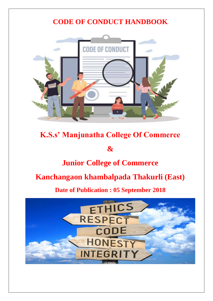# **CODE OF CONDUCT HANDBOOK**



# **K.S.s' Manjunatha College Of Commerce**

# **&**

# **Junior College of Commerce**

# **Kanchangaon khambalpada Thakurli (East)**

**Date of Publication : 05 September 2018**

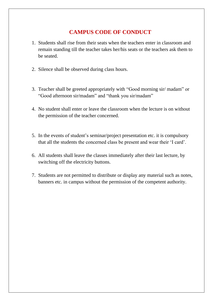## **CAMPUS CODE OF CONDUCT**

- 1. Students shall rise from their seats when the teachers enter in classroom and remain standing till the teacher takes her/his seats or the teachers ask them to be seated.
- 2. Silence shall be observed during class hours.
- 3. Teacher shall be greeted appropriately with "Good morning sir/ madam" or "Good afternoon sir/madam" and "thank you sir/madam"
- 4. No student shall enter or leave the classroom when the lecture is on without the permission of the teacher concerned.
- 5. In the events of student's seminar/project presentation etc. it is compulsory that all the students the concerned class be present and wear their 'I card'.
- 6. All students shall leave the classes immediately after their last lecture, by switching off the electricity buttons.
- 7. Students are not permitted to distribute or display any material such as notes, banners etc. in campus without the permission of the competent authority.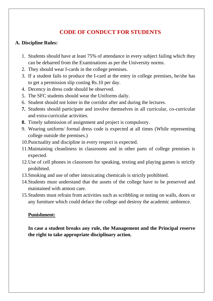## **CODE OF CONDUCT FOR STUDENTS**

## **A. Discipline Rules:**

- 1. Students should have at least 75% of attendance in every subject failing which they can be debarred from the Examinations as per the University norms.
- 2. They should wear I-cards in the college premises.
- 3. If a student fails to produce the I-card at the entry in college premises, he/she has to get a permission slip costing Rs.10 per day.
- 4. Decency in dress code should be observed.
- 5. The SFC students should wear the Uniforms daily.
- 6. Student should not loiter in the corridor after and during the lectures.
- **7.** Students should participate and involve themselves in all curricular, co-curricular and extra-curricular activities.
- **8.** Timely submission of assignment and project is compulsory.
- 9. Wearing uniform/ formal dress code is expected at all times (While representing college outside the premises.)
- 10.Punctuality and discipline in every respect is expected.
- 11.Maintaining cleanliness in classrooms and in other parts of college premises is expected.
- 12.Use of cell phones in classroom for speaking, texting and playing games is strictly prohibited.
- 13.Smoking and use of other intoxicating chemicals is strictly prohibited.
- 14.Students must understand that the assets of the college have to be preserved and maintained with atmost care.
- 15.Students must refrain from activities such as scribbling or noting on walls, doors or any furniture which could deface the college and destroy the academic ambience.

## **Punishment:**

**In case a student breaks any rule, the Management and the Principal reserve the right to take appropriate disciplinary action.**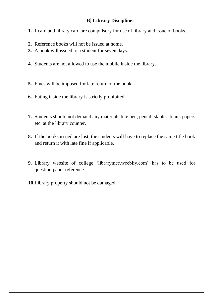## **B] Library Discipline:**

- **1.** I-card and library card are compulsory for use of library and issue of books.
- **2.** Reference books will not be issued at home.
- **3.** A book will issued to a student for seven days.
- **4.** Students are not allowed to use the mobile inside the library.
- **5.** Fines will be imposed for late return of the book.
- **6.** Eating inside the library is strictly prohibited.
- **7.** Students should not demand any materials like pen, pencil, stapler, blank papers etc. at the library counter.
- **8.** If the books issued are lost, the students will have to replace the same title book and return it with late fine if applicable.
- **9.** Library website of college 'librarymcc.weebliy.com' has to be used for question paper reference
- **10.**Library property should not be damaged.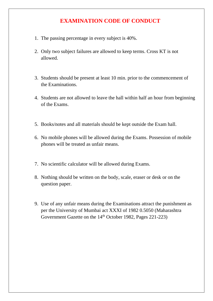## **EXAMINATION CODE OF CONDUCT**

- 1. The passing percentage in every subject is 40%.
- 2. Only two subject failures are allowed to keep terms. Cross KT is not allowed.
- 3. Students should be present at least 10 min. prior to the commencement of the Examinations.
- 4. Students are not allowed to leave the hall within half an hour from beginning of the Exams.
- 5. Books/notes and all materials should be kept outside the Exam hall.
- 6. No mobile phones will be allowed during the Exams. Possession of mobile phones will be treated as unfair means.
- 7. No scientific calculator will be allowed during Exams.
- 8. Nothing should be written on the body, scale, eraser or desk or on the question paper.
- 9. Use of any unfair means during the Examinations attract the punishment as per the University of Mumbai act XXXI of 1982 0.5050 (Maharashtra Government Gazette on the 14<sup>th</sup> October 1982, Pages 221-223)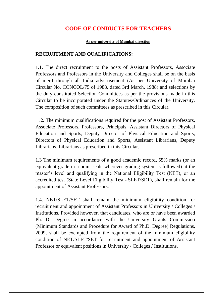## **CODE OF CONDUCTS FOR TEACHERS**

#### **As per university of Mumbai direction**

#### **RECRUITMENT AND QUALIFICATIONS:**

1.1. The direct recruitment to the posts of Assistant Professors, Associate Professors and Professors in the University and Colleges shall be on the basis of merit through all India advertisement (As per University of Mumbai Circular No. CONCOL/75 of 1988, dated 3rd March, 1988) and selections by the duly constituted Selection Committees as per the provisions made in this Circular to be incorporated under the Statutes/Ordinances of the University. The composition of such committees as prescribed in this Circular.

1.2. The minimum qualifications required for the post of Assistant Professors, Associate Professors, Professors, Principals, Assistant Directors of Physical Education and Sports, Deputy Director of Physical Education and Sports, Directors of Physical Education and Sports, Assistant Librarians, Deputy Librarians, Librarians as prescribed in this Circular.

1.3 The minimum requirements of a good academic record, 55% marks (or an equivalent grade in a point scale wherever grading system is followed) at the master's level and qualifying in the National Eligibility Test (NET), or an accredited test (State Level Eligibility Test ‐ SLET/SET), shall remain for the appointment of Assistant Professors.

1.4. NET/SLET/SET shall remain the minimum eligibility condition for recruitment and appointment of Assistant Professors in University / Colleges / Institutions. Provided however, that candidates, who are or have been awarded Ph. D. Degree in accordance with the University Grants Commission (Minimum Standards and Procedure for Award of Ph.D. Degree) Regulations, 2009, shall be exempted from the requirement of the minimum eligibility condition of NET/SLET/SET for recruitment and appointment of Assistant Professor or equivalent positions in University / Colleges / Institutions.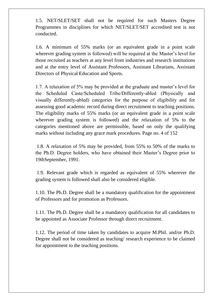1.5. NET/SLET/SET shall not be required for such Masters Degree Programmes in disciplines for which NET/SLET/SET accredited test is not conducted.

1.6. A minimum of 55% marks (or an equivalent grade in a point scale wherever grading system is followed) will be required at the Master's level for those recruited as teachers at any level from industries and research institutions and at the entry level of Assistant Professors, Assistant Librarians, Assistant Directors of Physical Education and Sports.

1.7. A relaxation of 5% may be provided at the graduate and master's level for the Scheduled Caste/Scheduled Tribe/Differently‐abled (Physically and visually differently‐abled) categories for the purpose of eligibility and for assessing good academic record during direct recruitment to teaching positions. The eligibility marks of 55% marks (or an equivalent grade in a point scale wherever grading system is followed) and the relaxation of 5% to the categories mentioned above are permissible, based on only the qualifying marks without including any grace mark procedures. Page no. 4 of 152

1.8. A relaxation of 5% may be provided, from 55% to 50% of the marks to the Ph.D. Degree holders, who have obtained their Master's Degree prior to 19thSeptember, 1991.

1.9. Relevant grade which is regarded as equivalent of 55% wherever the grading system is followed shall also be considered eligible.

1.10. The Ph.D. Degree shall be a mandatory qualification for the appointment of Professors and for promotion as Professors.

1.11. The Ph.D. Degree shall be a mandatory qualification for all candidates to be appointed as Associate Professor through direct recruitment.

1.12. The period of time taken by candidates to acquire M.Phil. and/or Ph.D. Degree shall not be considered as teaching/ research experience to be claimed for appointment to the teaching positions.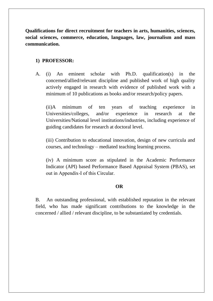**Qualifications for direct recruitment for teachers in arts, humanities, sciences, social sciences, commerce, education, languages, law, journalism and mass communication.** 

#### **1) PROFESSOR:**

A. (i) An eminent scholar with Ph.D. qualification(s) in the concerned/allied/relevant discipline and published work of high quality actively engaged in research with evidence of published work with a minimum of 10 publications as books and/or research/policy papers.

(ii)A minimum of ten years of teaching experience in Universities/colleges, and/or experience in research at the Universities/National level institutions/industries, including experience of guiding candidates for research at doctoral level.

(iii) Contribution to educational innovation, design of new curricula and courses, and technology – mediated teaching learning process.

(iv) A minimum score as stipulated in the Academic Performance Indicator (API) based Performance Based Appraisal System (PBAS), set out in Appendix‐I of this Circular.

#### **OR**

B. An outstanding professional, with established reputation in the relevant field, who has made significant contributions to the knowledge in the concerned / allied / relevant discipline, to be substantiated by credentials.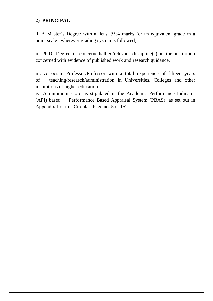## **2) PRINCIPAL**

i. A Master's Degree with at least 55% marks (or an equivalent grade in a point scale wherever grading system is followed).

ii. Ph.D. Degree in concerned/allied/relevant discipline(s) in the institution concerned with evidence of published work and research guidance.

iii. Associate Professor/Professor with a total experience of fifteen years of teaching/research/administration in Universities, Colleges and other institutions of higher education.

iv. A minimum score as stipulated in the Academic Performance Indicator (API) based Performance Based Appraisal System (PBAS), as set out in Appendix‐I of this Circular. Page no. 5 of 152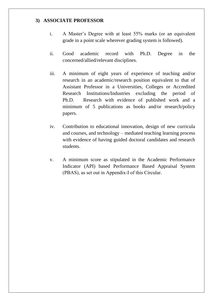## **3) ASSOCIATE PROFESSOR**

- i. A Master's Degree with at least 55% marks (or an equivalent grade in a point scale wherever grading system is followed).
- ii. Good academic record with Ph.D. Degree in the concerned/allied/relevant disciplines.
- iii. A minimum of eight years of experience of teaching and/or research in an academic/research position equivalent to that of Assistant Professor in a Universities, Colleges or Accredited Research Institutions/Industries excluding the period of Ph.D. Research with evidence of published work and a minimum of 5 publications as books and/or research/policy papers.
- iv. Contribution to educational innovation, design of new curricula and courses, and technology – mediated teaching learning process with evidence of having guided doctoral candidates and research students.
- v. A minimum score as stipulated in the Academic Performance Indicator (API) based Performance Based Appraisal System (PBAS), as set out in Appendix‐I of this Circular.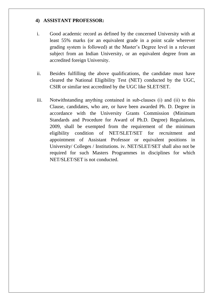## **4) ASSISTANT PROFESSOR:**

- i. Good academic record as defined by the concerned University with at least 55% marks (or an equivalent grade in a point scale wherever grading system is followed) at the Master's Degree level in a relevant subject from an Indian University, or an equivalent degree from an accredited foreign University.
- ii. Besides fulfilling the above qualifications, the candidate must have cleared the National Eligibility Test (NET) conducted by the UGC, CSIR or similar test accredited by the UGC like SLET/SET.
- iii. Notwithstanding anything contained in sub‐clauses (i) and (ii) to this Clause, candidates, who are, or have been awarded Ph. D. Degree in accordance with the University Grants Commission (Minimum Standards and Procedure for Award of Ph.D. Degree) Regulations, 2009, shall be exempted from the requirement of the minimum eligibility condition of NET/SLET/SET for recruitment and appointment of Assistant Professor or equivalent positions in University/ Colleges / Institutions. iv. NET/SLET/SET shall also not be required for such Masters Programmes in disciplines for which NET/SLET/SET is not conducted.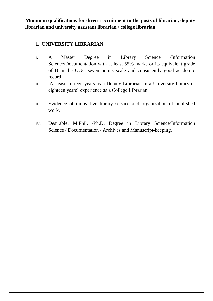**Minimum qualifications for direct recruitment to the posts of librarian, deputy librarian and university assistant librarian / college librarian** 

## **1. UNIVERSITY LIBRARIAN**

- i. A Master Degree in Library Science /Information Science/Documentation with at least 55% marks or its equivalent grade of B in the UGC seven points scale and consistently good academic record.
- ii. At least thirteen years as a Deputy Librarian in a University library or eighteen years' experience as a College Librarian.
- iii. Evidence of innovative library service and organization of published work.
- iv. Desirable: M.Phil. /Ph.D. Degree in Library Science/Information Science / Documentation / Archives and Manuscript-keeping.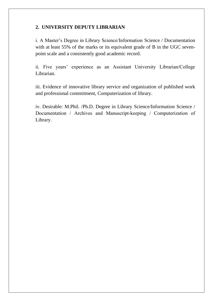## **2. UNIVERSITY DEPUTY LIBRARIAN**

i. A Master's Degree in Library Science/Information Science / Documentation with at least 55% of the marks or its equivalent grade of B in the UGC sevenpoint scale and a consistently good academic record.

ii. Five years' experience as an Assistant University Librarian/College Librarian.

iii. Evidence of innovative library service and organization of published work and professional commitment, Computerization of library.

iv. Desirable: M.Phil. /Ph.D. Degree in Library Science/Information Science / Documentation / Archives and Manuscript-keeping / Computerization of Library.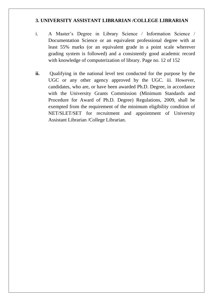## **3. UNIVERSITY ASSISTANT LIBRARIAN /COLLEGE LIBRARIAN**

- i. A Master's Degree in Library Science / Information Science / Documentation Science or an equivalent professional degree with at least 55% marks (or an equivalent grade in a point scale wherever grading system is followed) and a consistently good academic record with knowledge of computerization of library. Page no. 12 of 152
- **ii.** Qualifying in the national level test conducted for the purpose by the UGC or any other agency approved by the UGC. iii. However, candidates, who are, or have been awarded Ph.D. Degree, in accordance with the University Grants Commission (Minimum Standards and Procedure for Award of Ph.D. Degree) Regulations, 2009, shall be exempted from the requirement of the minimum eligibility condition of NET/SLET/SET for recruitment and appointment of University Assistant Librarian /College Librarian.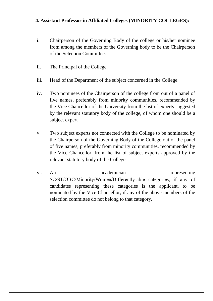## **4. Assistant Professor in Affiliated Colleges (MINORITY COLLEGES):**

- i. Chairperson of the Governing Body of the college or his/her nominee from among the members of the Governing body to be the Chairperson of the Selection Committee.
- ii. The Principal of the College.
- iii. Head of the Department of the subject concerned in the College.
- iv. Two nominees of the Chairperson of the college from out of a panel of five names, preferably from minority communities, recommended by the Vice Chancellor of the University from the list of experts suggested by the relevant statutory body of the college, of whom one should be a subject expert
- v. Two subject experts not connected with the College to be nominated by the Chairperson of the Governing Body of the College out of the panel of five names, preferably from minority communities, recommended by the Vice Chancellor, from the list of subject experts approved by the relevant statutory body of the College
- vi. An academician representing SC/ST/OBC/Minority/Women/Differently‐able categories, if any of candidates representing these categories is the applicant, to be nominated by the Vice Chancellor, if any of the above members of the selection committee do not belong to that category.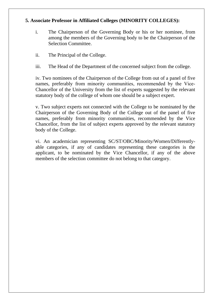## **5. Associate Professor in Affiliated Colleges (MINORITY COLLEGES):**

- i. The Chairperson of the Governing Body or his or her nominee, from among the members of the Governing body to be the Chairperson of the Selection Committee.
- ii. The Principal of the College.
- iii. The Head of the Department of the concerned subject from the college.

iv. Two nominees of the Chairperson of the College from out of a panel of five names, preferably from minority communities, recommended by the Vice-Chancellor of the University from the list of experts suggested by the relevant statutory body of the college of whom one should be a subject expert.

v. Two subject experts not connected with the College to be nominated by the Chairperson of the Governing Body of the College out of the panel of five names, preferably from minority communities, recommended by the Vice Chancellor, from the list of subject experts approved by the relevant statutory body of the College.

vi. An academician representing SC/ST/OBC/Minority/Women/Differently‐ able categories, if any of candidates representing these categories is the applicant, to be nominated by the Vice Chancellor, if any of the above members of the selection committee do not belong to that category.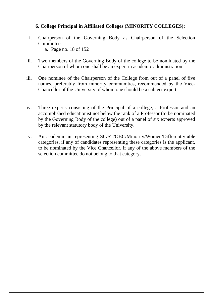## **6. College Principal in Affiliated Colleges (MINORITY COLLEGES):**

- i. Chairperson of the Governing Body as Chairperson of the Selection Committee. a. Page no. 18 of 152
- ii. Two members of the Governing Body of the college to be nominated by the Chairperson of whom one shall be an expert in academic administration.
- iii. One nominee of the Chairperson of the College from out of a panel of five names, preferably from minority communities, recommended by the Vice-Chancellor of the University of whom one should be a subject expert.
- iv. Three experts consisting of the Principal of a college, a Professor and an accomplished educationist not below the rank of a Professor (to be nominated by the Governing Body of the college) out of a panel of six experts approved by the relevant statutory body of the University.
- v. An academician representing SC/ST/OBC/Minority/Women/Differently‐able categories, if any of candidates representing these categories is the applicant, to be nominated by the Vice Chancellor, if any of the above members of the selection committee do not belong to that category.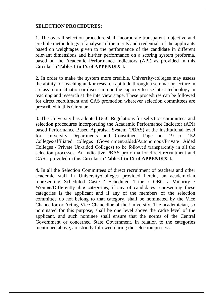#### **SELECTION PROCEDURES:**

1. The overall selection procedure shall incorporate transparent, objective and credible methodology of analysis of the merits and credentials of the applicants based on weightages given to the performance of the candidate in different relevant dimensions and his/her performance on a scoring system proforma, based on the Academic Performance Indicators (API) as provided in this Circular in **Tables I to IX of APPENDIX‐I.**

2. In order to make the system more credible, University/colleges may assess the ability for teaching and/or research aptitude through a seminar or lecture in a class room situation or discussion on the capacity to use latest technology in teaching and research at the interview stage. These procedures can be followed for direct recruitment and CAS promotion wherever selection committees are prescribed in this Circular.

3. The University has adopted UGC Regulations for selection committees and selection procedures incorporating the Academic Performance Indicator (API) based Performance Based Appraisal System (PBAS) at the institutional level for University Departments and Constituent Page no. 19 of 152 Colleges/affiliated colleges (Government‐aided/Autonomous/Private Aided Colleges / Private Un‐aided Colleges) to be followed transparently in all the selection processes. An indicative PBAS proforma for direct recruitment and CASis provided in this Circular in **Tables I to IX of APPENDIX‐I.**

**4.** In all the Selection Committees of direct recruitment of teachers and other academic staff in University/Colleges provided herein, an academician representing Scheduled Caste / Scheduled Tribe / OBC / Minority / Women/Differently-able categories, if any of candidates representing these categories is the applicant and if any of the members of the selection committee do not belong to that category, shall be nominated by the Vice Chancellor or Acting Vice Chancellor of the University. The academician, so nominated for this purpose, shall be one level above the cadre level of the applicant, and such nominee shall ensure that the norms of the Central Government or concerned State Government, in relation to the categories mentioned above, are strictly followed during the selection process.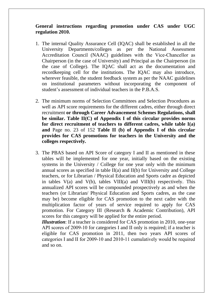#### **General instructions regarding promotion under CAS under UGC regulation 2010.**

- 1. The internal Quality Assurance Cell (IQAC) shall be established in all the University Departments/colleges as per the National Assessment Accreditation Council (NAAC) guidelines with the Vice-Chancellor as Chairperson (in the case of University) and Principal as the Chairperson (in the case of College). The IQAC shall act as the documentation and recordkeeping cell for the institutions. The IQAC may also introduce, wherever feasible, the student feedback system as per the NAAC guidelines on institutional parameters without incorporating the component of student's assessment of individual teachers in the P.B.A.S.
- 2. The minimum norms of Selection Committees and Selection Procedures as well as API score requirements for the different cadres, either through direct recruitment **or through Career Advancement Schemes Regulations, shall be similar. Table II(C) of Appendix I of this circular provides norms for direct recruitment of teachers to different cadres, while table I(a) and** Page no. 23 of 152 **Table II (b) of Appendix I of this circular provides for CAS promotions for teachers in the University and the colleges respectively.**
- 3. The PBAS based on API Score of category I and II as mentioned in these tables will be implemented for one year, initially based on the existing systems in the University / College for one year only with the minimum annual scores as specified in table II(a) and II(b) for University and College teachers, or for Librarian / Physical Education and Sports cadre as depicted in tables V(a) and V(b), tables VIII(a) and VIII(b) respectively. This annualized API scores will be compounded prospectively as and when the teachers (or Librarian/ Physical Education and Sports cadres, as the case may be) become eligible for CAS promotion to the next cadre with the multiplication factor of years of service required to apply for CAS promotion. For Category III (Research & Academic Contribution), API scores for this category will be applied for the entire period.

*Illustration*: If a teacher is considered for CAS promotion in 2010, one-year API scores of 2009–10 for categories I and II only is required; if a teacher is eligible for CAS promotion in 2011, then two years API scores of categories I and II for 2009‐10 and 2010‐11 cumulatively would be required and so on.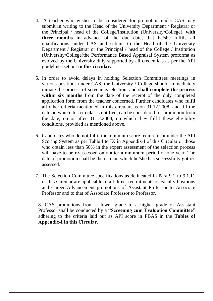- 4. A teacher who wishes to be considered for promotion under CAS may submit in writing to the Head of the University Department / Registrar or the Principal / head of the College/Institution (University/College), **with three months** in advance of the due date, that he/she fulfils all qualifications under CAS and submit to the Head of the University Department / Registrar or the Principal / head of the College / Institution (University/College)the Performance Based Appraisal System proforma as evolved by the University duly supported by all credentials as per the API guidelines set out **in this circular.**
- 5. In order to avoid delays in holding Selection Committees meetings in various positions under CAS, the University / College should immediately initiate the process of screening/selection, and **shall complete the process within six months** from the date of the receipt of the duly completed application form from the teacher concerned. Further candidates who fulfil all other criteria mentioned in this circular, as on 31.12.2008, and till the date on which this circular is notified, can be considered for promotion from the date, on or after 31.12.2008, on which they fulfil these eligibility conditions, provided as mentioned above.
- 6. Candidates who do not fulfil the minimum score requirement under the API Scoring System as per Table I to IX in Appendix‐I of this Circular or those who obtain less than 50% in the expert assessment of the selection process will have to be re-assessed only after a minimum period of one year. The date of promotion shall be the date on which he/she has successfully got reassessed.
- 7. The Selection Committee specifications as delineated in Para 9.1 to 9.1.11 of this Circular are applicable to all direct recruitments of Faculty Positions and Career Advancement promotions of Assistant Professor to Associate Professor and to that of Associate Professor to Professor.

8. CAS promotions from a lower grade to a higher grade of Assistant Professor shall be conducted by a **"Screening cum Evaluation Committee"**  adhering to the criteria laid out as API score in PBAS in the **Tables of Appendix‐I in this Circular.**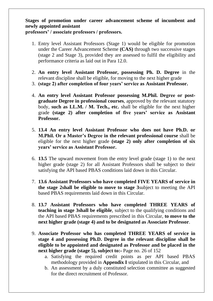## **Stages of promotion under career advancement scheme of incumbent and newly appointed assistant**

**professors' / associate professors / professors.**

- 1. Entry level Assistant Professors (Stage 1) would be eligible for promotion under the Career Advancement Scheme **(CAS)** through two successive stages (stage 2 and Stage 3), provided they are assessed to fulfil the eligibility and performance criteria as laid out in Para 12.0.
- 2. **An entry level Assistant Professor, possessing Ph. D. Degree** in the relevant discipline shall be eligible, for moving to the next higher grade
- 3. **(stage 2) after completion of four years' service as Assistant Professor.**
- 4. **An entry level Assistant Professor possessing M.Phil. Degree or post‐ graduate Degree in professional courses**, approved by the relevant statutory body, **such as LL.M. / M. Tech., etc.** shall be eligible for the next higher grade **(stage 2) after completion of five years' service as Assistant Professor.**
- 5. **13.4 An entry level Assistant Professor who does not have Ph.D. or M.Phil. Or a Master's Degree in the relevant professional course** shall be eligible for the next higher grade **(stage 2) only after completion of six years' service as Assistant Professor.**
- 6. **13.5** The upward movement from the entry level grade (stage 1) to the next higher grade (stage 2) for all Assistant Professors shall be subject to their satisfying the API based PBAS conditions laid down in this Circular.
- 7. **13.6 Assistant Professors who have completed FIVE YEARS of service in the stage 2shall be eligible to move to stage 3**subject to meeting the API based PBAS requirements laid down in this Circular.
- 8. **13.7 Assistant Professors who have completed THREE YEARS of teaching in stage 3shall be eligible**, subject to the qualifying conditions and the API based PBAS requirements prescribed in this Circular, **to move to the next higher grade (stage 4) and to be designated as Associate Professor**.
- 9. **Associate Professor who has completed THREE YEARS of service in stage 4 and possessing Ph.D. Degree in the relevant discipline shall be eligible to be appointed and designated as Professor and be placed in the next higher grade (stage 5), subject to:** - Page no. 26 of 152
	- a. Satisfying the required credit points as per API based PBAS methodology provided in **Appendix I** stipulated in this Circular, and
	- b. An assessment by a duly constituted selection committee as suggested for the direct recruitment of Professor.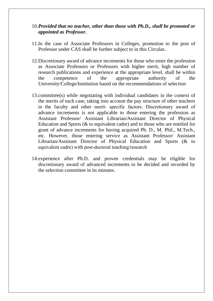#### 10.*Provided that no teacher, other than those with Ph.D., shall be promoted or appointed as Professor***.**

- 11.In the case of Associate Professors in Colleges, promotion to the post of Professor under CAS shall be further subject to in this Circular**.**
- 12.Discretionary award of advance increments for those who enter the profession as Associate Professors or Professors with higher merit, high number of research publications and experience at the appropriate level, shall be within the competence of the appropriate authority of the University/College/Institution based on the recommendations of selection
- 13.committee(s) while negotiating with individual candidates in the context of the merits of each case, taking into account the pay structure of other teachers in the faculty and other merit‐ specific factors. Discretionary award of advance increments is not applicable to those entering the profession as Assistant Professor/ Assistant Librarian/Assistant Director of Physical Education and Sports (& to equivalent cadre) and to those who are entitled for grant of advance increments for having acquired Ph. D., M. Phil., M.Tech., etc. However, those entering service as Assistant Professor/ Assistant Librarian/Assistant Director of Physical Education and Sports (& to equivalent cadre) with post‐doctoral teaching/research
- 14.experience after Ph.D. and proven credentials may be eligible for discretionary award of advanced increments to be decided and recorded by the selection committee in its minutes.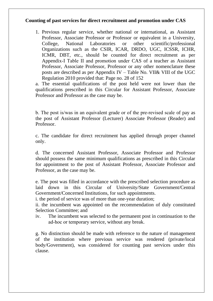### **Counting of past services for direct recruitment and promotion under CAS**

1. Previous regular service, whether national or international, as Assistant Professor, Associate Professor or Professor or equivalent in a University, College, National Laboratories or other scientific/professional Organizations such as the CSIR, ICAR, DRDO, UGC, ICSSR, ICHR, ICMR, DBT, etc., should be counted for direct recruitment as per Appendix‐I Table II and promotion under CAS of a teacher as Assistant Professor, Associate Professor, Professor or any other nomenclature these posts are described as per Appendix IV – Table No. VII& VIII of the UGC Regulation 2010 provided that: Page no. 28 of 152

a. The essential qualifications of the post held were not lower than the qualifications prescribed in this Circular for Assistant Professor, Associate Professor and Professor as the case may be.

b. The post is/was in an equivalent grade or of the pre‐revised scale of pay as the post of Assistant Professor (Lecturer) Associate Professor (Reader) and Professor.

c. The candidate for direct recruitment has applied through proper channel only.

d. The concerned Assistant Professor, Associate Professor and Professor should possess the same minimum qualifications as prescribed in this Circular for appointment to the post of Assistant Professor, Associate Professor and Professor, as the case may be.

e. The post was filled in accordance with the prescribed selection procedure as laid down in this Circular of University/State Government/Central Government/Concerned Institutions, for such appointments.

i. the period of service was of more than one-year duration;

ii. the incumbent was appointed on the recommendation of duly constituted Selection Committee; and

iv. The incumbent was selected to the permanent post in continuation to the ad‐hoc or temporary service, without any break.

g. No distinction should be made with reference to the nature of management of the institution where previous service was rendered (private/local body/Government), was considered for counting past services under this clause.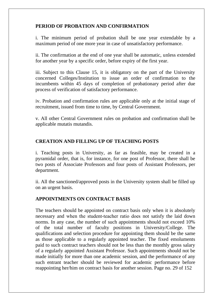## **PERIOD OF PROBATION AND CONFIRMATION**

i. The minimum period of probation shall be one year extendable by a maximum period of one more year in case of unsatisfactory performance.

ii. The confirmation at the end of one year shall be automatic, unless extended for another year by a specific order, before expiry of the first year.

iii. Subject to this Clause 15, it is obligatory on the part of the University concerned Colleges/Institution to issue an order of confirmation to the incumbents within 45 days of completion of probationary period after due process of verification of satisfactory performance.

iv. Probation and confirmation rules are applicable only at the initial stage of recruitment, issued from time to time, by Central Government.

v. All other Central Government rules on probation and confirmation shall be applicable mutatis mutandis.

## **CREATION AND FILLING UP OF TEACHING POSTS**

i. Teaching posts in University, as far as feasible, may be created in a pyramidal order, that is, for instance, for one post of Professor, there shall be two posts of Associate Professors and four posts of Assistant Professors, per department.

ii. All the sanctioned/approved posts in the University system shall be filled up on an urgent basis.

## **APPOINTMENTS ON CONTRACT BASIS**

The teachers should be appointed on contract basis only when it is absolutely necessary and when the student‐teacher ratio does not satisfy the laid down norms. In any case, the number of such appointments should not exceed 10% of the total number of faculty positions in University/College. The qualifications and selection procedure for appointing them should be the same as those applicable to a regularly appointed teacher. The fixed emoluments paid to such contract teachers should not be less than the monthly gross salary of a regularly appointed Assistant Professor. Such appointments should not be made initially for more than one academic session, and the performance of any such entrant teacher should be reviewed for academic performance before reappointing her/him on contract basis for another session. Page no. 29 of 152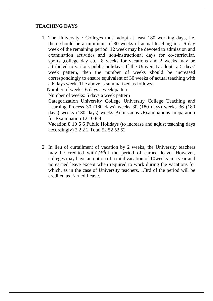#### **TEACHING DAYS**

1. The University / Colleges must adopt at least 180 working days, i.e. there should be a minimum of 30 weeks of actual teaching in a 6 day week of the remaining period, 12 week may be devoted to admission and examination activities and non-instructional days for co-curricular, sports ,college day etc., 8 weeks for vacations and 2 weeks may be attributed to various public holidays. If the University adopts a 5 days' week pattern, then the number of weeks should be increased correspondingly to ensure equivalent of 30 weeks of actual teaching with a 6 days week. The above is summarized as follows:

Number of weeks: 6 days a week pattern

Number of weeks: 5 days a week pattern

Categorization University College University College Teaching and Learning Process 30 (180 days) weeks 30 (180 days) weeks 36 (180 days) weeks (180 days) weeks Admissions /Examinations preparation for Examination 12 10 8 8

Vacation 8 10 6 6 Public Holidays (to increase and adjust teaching days accordingly) 2 2 2 2 Total 52 52 52 52

2. In lieu of curtailment of vacation by 2 weeks, the University teachers may be credited with $1/3^{rd}$  of the period of earned leave. However, colleges may have an option of a total vacation of 10weeks in a year and no earned leave except when required to work during the vacations for which, as in the case of University teachers, 1/3rd of the period will be credited as Earned Leave.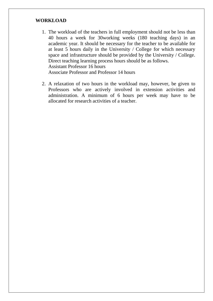#### **WORKLOAD**

- 1. The workload of the teachers in full employment should not be less than 40 hours a week for 30working weeks (180 teaching days) in an academic year. It should be necessary for the teacher to be available for at least 5 hours daily in the University / College for which necessary space and infrastructure should be provided by the University / College. Direct teaching learning process hours should be as follows. Assistant Professor 16 hours Associate Professor and Professor 14 hours
- 2. A relaxation of two hours in the workload may, however, be given to Professors who are actively involved in extension activities and administration. A minimum of 6 hours per week may have to be allocated for research activities of a teacher.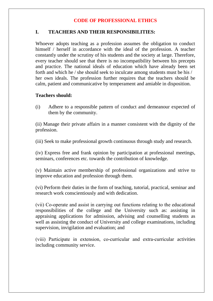## **CODE OF PROFESSIONAL ETHICS**

## **I. TEACHERS AND THEIR RESPONSIBILITIES:**

Whoever adopts teaching as a profession assumes the obligation to conduct himself / herself in accordance with the ideal of the profession. A teacher constantly under the scrutiny of his students and the society at large. Therefore, every teacher should see that there is no incompatibility between his precepts and practice. The national ideals of education which have already been set forth and which he / she should seek to inculcate among students must be his / her own ideals. The profession further requires that the teachers should be calm, patient and communicative by temperament and amiable in disposition.

#### **Teachers should:**

(i) Adhere to a responsible pattern of conduct and demeanour expected of them by the community.

(ii) Manage their private affairs in a manner consistent with the dignity of the profession.

(iii) Seek to make professional growth continuous through study and research.

(iv) Express free and frank opinion by participation at professional meetings, seminars, conferences etc. towards the contribution of knowledge.

(v) Maintain active membership of professional organizations and strive to improve education and profession through them.

(vi) Perform their duties in the form of teaching, tutorial, practical, seminar and research work conscientiously and with dedication.

(vii) Co‐operate and assist in carrying out functions relating to the educational responsibilities of the college and the University such as: assisting in appraising applications for admission, advising and counselling students as well as assisting the conduct of University and college examinations, including supervision, invigilation and evaluation; and

(viii) Participate in extension, co‐curricular and extra‐curricular activities including community service.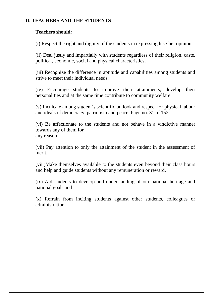## **II. TEACHERS AND THE STUDENTS**

#### **Teachers should:**

(i) Respect the right and dignity of the students in expressing his / her opinion.

(ii) Deal justly and impartially with students regardless of their religion, caste, political, economic, social and physical characteristics;

(iii) Recognize the difference in aptitude and capabilities among students and strive to meet their individual needs;

(iv) Encourage students to improve their attainments, develop their personalities and at the same time contribute to community welfare.

(v) Inculcate among student's scientific outlook and respect for physical labour and ideals of democracy, patriotism and peace. Page no. 31 of 152

(vi) Be affectionate to the students and not behave in a vindictive manner towards any of them for any reason.

(vii) Pay attention to only the attainment of the student in the assessment of merit.

(viii)Make themselves available to the students even beyond their class hours and help and guide students without any remuneration or reward.

(ix) Aid students to develop and understanding of our national heritage and national goals and

(x) Refrain from inciting students against other students, colleagues or administration.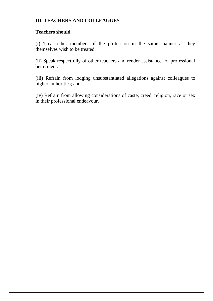## **III. TEACHERS AND COLLEAGUES**

#### **Teachers should**

(i) Treat other members of the profession in the same manner as they themselves wish to be treated.

(ii) Speak respectfully of other teachers and render assistance for professional betterment.

(iii) Refrain from lodging unsubstantiated allegations against colleagues to higher authorities; and

(iv) Refrain from allowing considerations of caste, creed, religion, race or sex in their professional endeavour.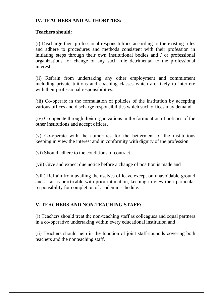## **IV. TEACHERS AND AUTHORITIES:**

#### **Teachers should:**

(i) Discharge their professional responsibilities according to the existing rules and adhere to procedures and methods consistent with their profession in initiating steps through their own institutional bodies and / or professional organizations for change of any such rule detrimental to the professional interest.

(ii) Refrain from undertaking any other employment and commitment including private tuitions and coaching classes which are likely to interfere with their professional responsibilities.

(iii) Co‐operate in the formulation of policies of the institution by accepting various offices and discharge responsibilities which such offices may demand.

(iv) Co‐operate through their organizations in the formulation of policies of the other institutions and accept offices.

(v) Co‐operate with the authorities for the betterment of the institutions keeping in view the interest and in conformity with dignity of the profession.

(vi) Should adhere to the conditions of contract.

(vii) Give and expect due notice before a change of position is made and

(viii) Refrain from availing themselves of leave except on unavoidable ground and a far as practicable with prior intimation, keeping in view their particular responsibility for completion of academic schedule.

## **V. TEACHERS AND NON‐TEACHING STAFF:**

(i) Teachers should treat the non‐teaching staff as colleagues and equal partners in a co-operative undertaking within every educational institution and

(ii) Teachers should help in the function of joint staff‐councils covering both teachers and the nonteaching staff.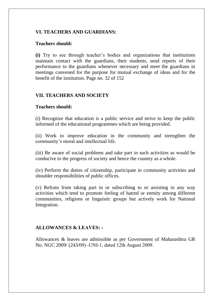## **VI. TEACHERS AND GUARDIANS:**

#### **Teachers should:**

**(i)** Try to see through teacher's bodies and organizations that institutions maintain contact with the guardians, their students, send reports of their performance to the guardians whenever necessary and meet the guardians in meetings convened for the purpose for mutual exchange of ideas and for the benefit of the institution. Page no. 32 of 152

## **VII. TEACHERS AND SOCIETY**

#### **Teachers should:**

(i) Recognize that education is a public service and strive to keep the public informed of the educational programmes which are being provided.

(ii) Work to improve education in the community and strengthen the community's moral and intellectual life.

(iii) Be aware of social problems and take part in such activities as would be conducive to the progress of society and hence the country as a whole.

(iv) Perform the duties of citizenship, participate in community activities and shoulder responsibilities of public offices.

(v) Refrain from taking part in or subscribing to or assisting in any way activities which tend to promote feeling of hatred or enmity among different communities, religions or linguistic groups but actively work for National Integration.

#### **ALLOWANCES & LEAVES: ‐**

Allowances & leaves are admissible as per Government of Maharashtra GR No. NGC 2009/ (243/09) ‐UNI‐1, dated 12th August 2009.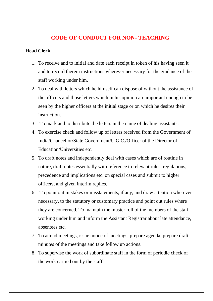## **CODE OF CONDUCT FOR NON- TEACHING**

#### **Head Clerk**

- 1. To receive and to initial and date each receipt in token of his having seen it and to record therein instructions wherever necessary for the guidance of the staff working under him.
- 2. To deal with letters which he himself can dispose of without the assistance of the officers and those letters which in his opinion are important enough to be seen by the higher officers at the initial stage or on which he desires their instruction.
- 3. To mark and to distribute the letters in the name of dealing assistants.
- 4. To exercise check and follow up of letters received from the Government of India/Chancellor/State Government/U.G.C./Officer of the Director of Education/Universities etc.
- 5. To draft notes and independently deal with cases which are of routine in nature, draft notes essentially with reference to relevant rules, regulations, precedence and implications etc. on special cases and submit to higher officers, and given interim replies.
- 6. To point out mistakes or misstatements, if any, and draw attention wherever necessary, to the statutory or customary practice and point out rules where they are concerned. To maintain the muster roll of the members of the staff working under him and inform the Assistant Registrar about late attendance, absentees etc.
- 7. To attend meetings, issue notice of meetings, prepare agenda, prepare draft minutes of the meetings and take follow up actions.
- 8. To supervise the work of subordinate staff in the form of periodic check of the work carried out by the staff.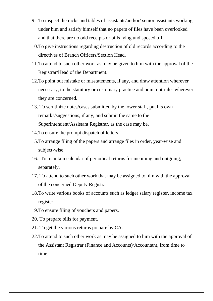- 9. To inspect the racks and tables of assistants/and/or/ senior assistants working under him and satisfy himself that no papers of files have been overlooked and that there are no odd receipts or bills lying undisposed off.
- 10.To give instructions regarding destruction of old records according to the directives of Branch Officers/Section Head.
- 11.To attend to such other work as may be given to him with the approval of the Registrar/Head of the Department.
- 12.To point out mistake or misstatements, if any, and draw attention wherever necessary, to the statutory or customary practice and point out rules wherever they are concerned.
- 13. To scrutinize notes/cases submitted by the lower staff, put his own remarks/suggestions, if any, and submit the same to the Superintendent/Assistant Registrar, as the case may be.
- 14.To ensure the prompt dispatch of letters.
- 15.To arrange filing of the papers and arrange files in order, year-wise and subject-wise.
- 16. To maintain calendar of periodical returns for incoming and outgoing, separately.
- 17. To attend to such other work that may be assigned to him with the approval of the concerned Deputy Registrar.
- 18.To write various books of accounts such as ledger salary register, income tax register.
- 19.To ensure filing of vouchers and papers.
- 20. To prepare bills for payment.
- 21. To get the various returns prepare by CA.
- 22.To attend to such other work as may be assigned to him with the approval of the Assistant Registrar (Finance and Accounts)/Accountant, from time to time.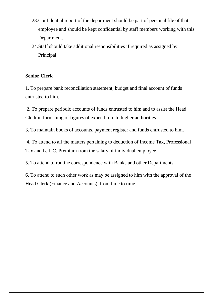- 23.Confidential report of the department should be part of personal file of that employee and should be kept confidential by staff members working with this Department.
- 24.Staff should take additional responsibilities if required as assigned by Principal.

## **Senior Clerk**

1. To prepare bank reconciliation statement, budget and final account of funds entrusted to him.

2. To prepare periodic accounts of funds entrusted to him and to assist the Head Clerk in furnishing of figures of expenditure to higher authorities.

3. To maintain books of accounts, payment register and funds entrusted to him.

4. To attend to all the matters pertaining to deduction of Income Tax, Professional Tax and L. I. C. Premium from the salary of individual employee.

5. To attend to routine correspondence with Banks and other Departments.

6. To attend to such other work as may be assigned to him with the approval of the Head Clerk (Finance and Accounts), from time to time.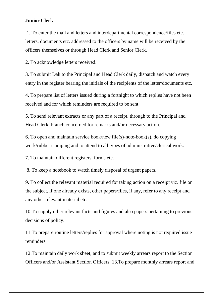#### **Junior Clerk**

1. To enter the mail and letters and interdepartmental correspondence/files etc. letters, documents etc. addressed to the officers by name will be received by the officers themselves or through Head Clerk and Senior Clerk.

2. To acknowledge letters received.

3. To submit Dak to the Principal and Head Clerk daily, dispatch and watch every entry in the register bearing the initials of the recipients of the letter/documents etc.

4. To prepare list of letters issued during a fortnight to which replies have not been received and for which reminders are required to be sent.

5. To send relevant extracts or any part of a receipt, through to the Principal and Head Clerk, branch concerned for remarks and/or necessary action.

6. To open and maintain service book/new file(s)-note-book(s), do copying work/rubber stamping and to attend to all types of administrative/clerical work.

7. To maintain different registers, forms etc.

8. To keep a notebook to watch timely disposal of urgent papers.

9. To collect the relevant material required for taking action on a receipt viz. file on the subject, if one already exists, other papers/files, if any, refer to any receipt and any other relevant material etc.

10.To supply other relevant facts and figures and also papers pertaining to previous decisions of policy.

11.To prepare routine letters/replies for approval where noting is not required issue reminders.

12.To maintain daily work sheet, and to submit weekly arrears report to the Section Officers and/or Assistant Section Officers. 13.To prepare monthly arrears report and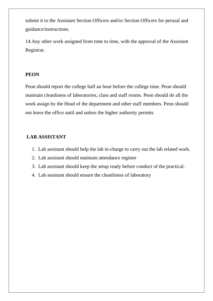submit it to the Assistant Section Officers and/or Section Officers for perusal and guidance/instructions.

14.Any other work assigned from time to time, with the approval of the Assistant Registrar.

## **PEON**

Peon should report the college half an hour before the college time. Peon should maintain cleanliness of laboratories, class and staff rooms. Peon should do all the work assign by the Head of the department and other staff members. Peon should not leave the office until and unless the higher authority permits

## **LAB ASSISTANT**

- 1. Lab assistant should help the lab in-charge to carry out the lab related work.
- 2. Lab assistant should maintain attendance register
- 3. Lab assistant should keep the setup ready before conduct of the practical.
- 4. Lab assistant should ensure the cleanliness of laboratory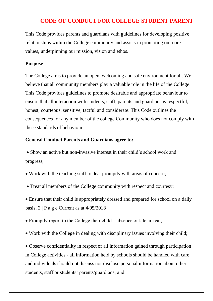## **CODE OF CONDUCT FOR COLLEGE STUDENT PARENT**

This Code provides parents and guardians with guidelines for developing positive relationships within the College community and assists in promoting our core values, underpinning our mission, vision and ethos.

#### **Purpose**

The College aims to provide an open, welcoming and safe environment for all. We believe that all community members play a valuable role in the life of the College. This Code provides guidelines to promote desirable and appropriate behaviour to ensure that all interaction with students, staff, parents and guardians is respectful, honest, courteous, sensitive, tactful and considerate. This Code outlines the consequences for any member of the college Community who does not comply with these standards of behaviour

## **General Conduct Parents and Guardians agree to:**

• Show an active but non-invasive interest in their child's school work and progress;

- Work with the teaching staff to deal promptly with areas of concern;
- Treat all members of the College community with respect and courtesy;

• Ensure that their child is appropriately dressed and prepared for school on a daily basis;  $2 \mid P$  a g e Current as at  $4/05/2018$ 

- Promptly report to the College their child's absence or late arrival;
- Work with the College in dealing with disciplinary issues involving their child;

• Observe confidentiality in respect of all information gained through participation in College activities - all information held by schools should be handled with care and individuals should not discuss nor disclose personal information about other students, staff or students' parents/guardians; and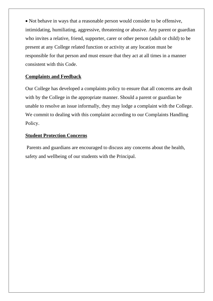• Not behave in ways that a reasonable person would consider to be offensive, intimidating, humiliating, aggressive, threatening or abusive. Any parent or guardian who invites a relative, friend, supporter, carer or other person (adult or child) to be present at any College related function or activity at any location must be responsible for that person and must ensure that they act at all times in a manner consistent with this Code.

## **Complaints and Feedback**

Our College has developed a complaints policy to ensure that all concerns are dealt with by the College in the appropriate manner. Should a parent or guardian be unable to resolve an issue informally, they may lodge a complaint with the College. We commit to dealing with this complaint according to our Complaints Handling Policy.

## **Student Protection Concerns**

Parents and guardians are encouraged to discuss any concerns about the health, safety and wellbeing of our students with the Principal.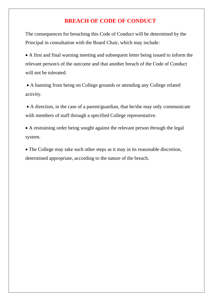## **BREACH OF CODE OF CONDUCT**

The consequences for breaching this Code of Conduct will be determined by the Principal in consultation with the Board Chair, which may include:

• A first and final warning meeting and subsequent letter being issued to inform the relevant person/s of the outcome and that another breach of the Code of Conduct will not be tolerated.

• A banning from being on College grounds or attending any College related activity.

• A direction, in the case of a parent/guardian, that he/she may only communicate with members of staff through a specified College representative.

• A restraining order being sought against the relevant person through the legal system.

• The College may take such other steps as it may in its reasonable discretion, determined appropriate, according to the nature of the breach.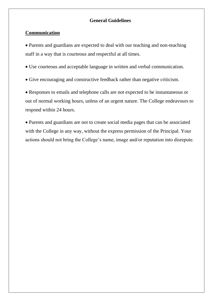#### **General Guidelines**

#### **Communication**

• Parents and guardians are expected to deal with our teaching and non-teaching staff in a way that is courteous and respectful at all times.

- Use courteous and acceptable language in written and verbal communication.
- Give encouraging and constructive feedback rather than negative criticism.

• Responses to emails and telephone calls are not expected to be instantaneous or out of normal working hours, unless of an urgent nature. The College endeavours to respond within 24 hours.

• Parents and guardians are not to create social media pages that can be associated with the College in any way, without the express permission of the Principal. Your actions should not bring the College's name, image and/or reputation into disrepute.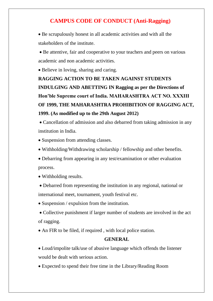## **CAMPUS CODE OF CONDUCT (Anti-Ragging)**

• Be scrupulously honest in all academic activities and with all the stakeholders of the institute.

• Be attentive, fair and cooperative to your teachers and peers on various academic and non academic activities.

• Believe in loving, sharing and caring.

**RAGGING ACTION TO BE TAKEN AGAINST STUDENTS INDULGING AND ABETTING IN Ragging as per the Directions of Hon'ble Supreme court of India. MAHARASHTRA ACT NO. XXXIII OF 1999, THE MAHARASHTRA PROHIBITION OF RAGGING ACT, 1999. (As modified up to the 29th August 2012)**

• Cancellation of admission and also debarred from taking admission in any institution in India.

- Suspension from attending classes.
- Withholding/Withdrawing scholarship / fellowship and other benefits.
- Debarring from appearing in any test/examination or other evaluation process.

• Withholding results.

- Debarred from representing the institution in any regional, national or international meet, tournament, youth festival etc.
- Suspension / expulsion from the institution.

• Collective punishment if larger number of students are involved in the act of ragging.

• An FIR to be filed, if required, with local police station.

#### **GENERAL**

• Loud/impolite talk/use of abusive language which offends the listener would be dealt with serious action.

• Expected to spend their free time in the Library/Reading Room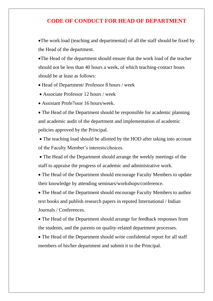## **CODE OF CONDUCT FOR HEAD OF DEPARTMENT**

•The work load (teaching and departmental) of all the staff should be fixed by the Head of the department.

•The Head of the department should ensure that the work load of the teacher should not be less than 40 hours a week, of which teaching-contact hours should be at least as follows:

- Head of Department/ Professor 8 hours / week
- Associate Professor 12 hours / week
- Assistant Profe7ssor 16 hours/week.

• The Head of the Department should be responsible for academic planning and academic audit of the department and implementation of academic policies approved by the Principal.

• The teaching load should be allotted by the HOD after taking into account of the Faculty Member's interests/choices.

• The Head of the Department should arrange the weekly meetings of the staff to appraise the progress of academic and administrative work.

• The Head of the Department should encourage Faculty Members to update their knowledge by attending seminars/workshops/conference.

• The Head of the Department should encourage Faculty Members to author text books and publish research papers in reputed International / Indian Journals / Conferences.

• The Head of the Department should arrange for feedback responses from the students, and the parents on quality-related department processes.

• The Head of the Department should write confidential report for all staff members of his/her department and submit it to the Principal.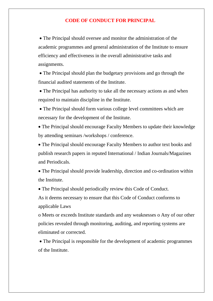#### **CODE OF CONDUCT FOR PRINCIPAL**

• The Principal should oversee and monitor the administration of the academic programmes and general administration of the Institute to ensure efficiency and effectiveness in the overall administrative tasks and assignments.

• The Principal should plan the budgetary provisions and go through the financial audited statements of the Institute.

• The Principal has authority to take all the necessary actions as and when required to maintain discipline in the Institute.

• The Principal should form various college level committees which are necessary for the development of the Institute.

• The Principal should encourage Faculty Members to update their knowledge by attending seminars /workshops / conference.

• The Principal should encourage Faculty Members to author text books and publish research papers in reputed International / Indian Journals/Magazines and Periodicals.

• The Principal should provide leadership, direction and co-ordination within the Institute.

• The Principal should periodically review this Code of Conduct.

As it deems necessary to ensure that this Code of Conduct conforms to applicable Laws

o Meets or exceeds Institute standards and any weaknesses o Any of our other policies revealed through monitoring, auditing, and reporting systems are eliminated or corrected.

• The Principal is responsible for the development of academic programmes of the Institute.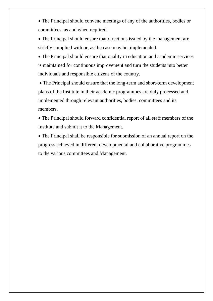• The Principal should convene meetings of any of the authorities, bodies or committees, as and when required.

• The Principal should ensure that directions issued by the management are strictly complied with or, as the case may be, implemented.

• The Principal should ensure that quality in education and academic services is maintained for continuous improvement and turn the students into better individuals and responsible citizens of the country.

• The Principal should ensure that the long-term and short-term development plans of the Institute in their academic programmes are duly processed and implemented through relevant authorities, bodies, committees and its members.

• The Principal should forward confidential report of all staff members of the Institute and submit it to the Management.

• The Principal shall be responsible for submission of an annual report on the progress achieved in different developmental and collaborative programmes to the various committees and Management.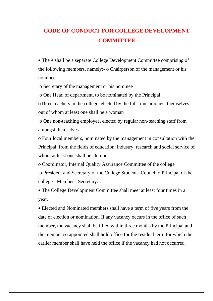# **CODE OF CONDUCT FOR COLLEGE DEVELOPMENT COMMITTEE**

• There shall be a separate College Development Committee comprising of the following members, namely:- o Chairperson of the management or his nominee

o Secretary of the management or his nominee

o One Head of department, to be nominated by the Principal

oThree teachers in the college, elected by the full-time amongst themselves out of whom at least one shall be a woman

o One non-teaching employee, elected by regular non-teaching staff from amongst themselves

o Four local members, nominated by the management in consultation with the Principal, from the fields of education, industry, research and social service of whom at least one shall be alumnus

o Coordinator, Internal Quality Assurance Committee of the college o President and Secretary of the College Students' Council o Principal of the college - Member - Secretary.

• The College Development Committee shall meet at least four times in a year.

• Elected and Nominated members shall have a term of five years from the date of election or nomination. If any vacancy occurs in the office of such member, the vacancy shall be filled within three months by the Principal and the member so appointed shall hold office for the residual term for which the earlier member shall have held the office if the vacancy had not occurred.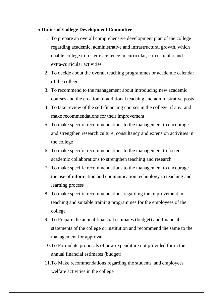#### • **Duties of College Development Committee**

- 1. To prepare an overall comprehensive development plan of the college regarding academic, administrative and infrastructural growth, which enable college to foster excellence in curricular, co-curricular and extra-curricular activities
- 2. To decide about the overall teaching programmes or academic calendar of the college
- 3. To recommend to the management about introducing new academic courses and the creation of additional teaching and administrative posts
- 4. To take review of the self-financing courses in the college, if any, and make recommendations for their improvement
- 5. To make specific recommendations to the management to encourage and strengthen research culture, consultancy and extension activities in the college
- 6. To make specific recommendations to the management to foster academic collaborations to strengthen teaching and research
- 7. To make specific recommendations to the management to encourage the use of information and communication technology in teaching and learning process
- 8. To make specific recommendations regarding the improvement in teaching and suitable training programmes for the employees of the college
- 9. To Prepare the annual financial estimates (budget) and financial statements of the college or institution and recommend the same to the management for approval
- 10.To Formulate proposals of new expenditure not provided for in the annual financial estimates (budget)
- 11.To Make recommendations regarding the students' and employees' welfare activities in the college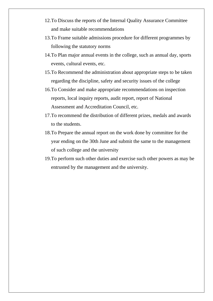- 12.To Discuss the reports of the Internal Quality Assurance Committee and make suitable recommendations
- 13.To Frame suitable admissions procedure for different programmes by following the statutory norms
- 14.To Plan major annual events in the college, such as annual day, sports events, cultural events, etc.
- 15.To Recommend the administration about appropriate steps to be taken regarding the discipline, safety and security issues of the college
- 16.To Consider and make appropriate recommendations on inspection reports, local inquiry reports, audit report, report of National Assessment and Accreditation Council, etc.
- 17.To recommend the distribution of different prizes, medals and awards to the students.
- 18.To Prepare the annual report on the work done by committee for the year ending on the 30th June and submit the same to the management of such college and the university
- 19.To perform such other duties and exercise such other powers as may be entrusted by the management and the university.